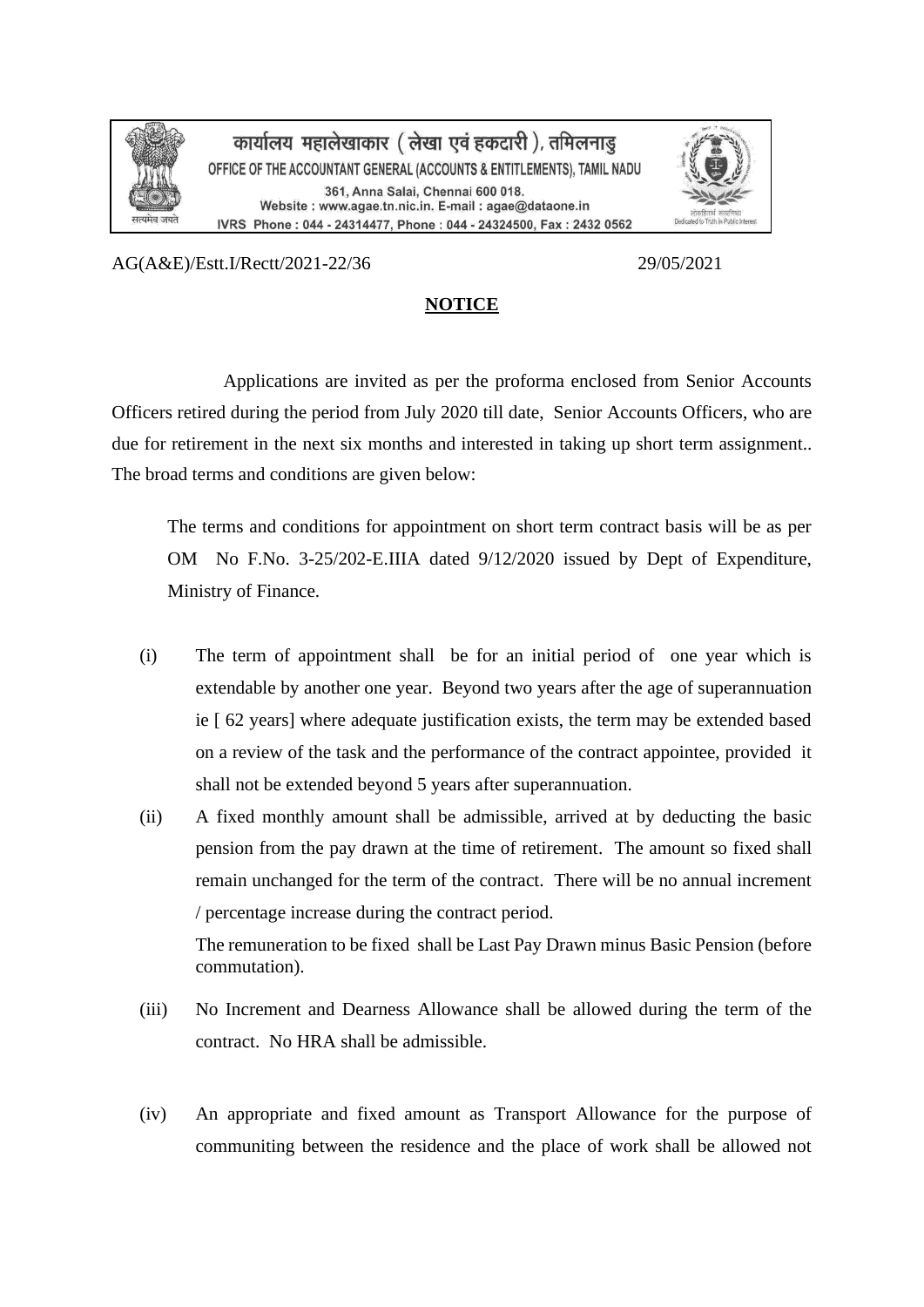

कार्यालय महालेखाकार ( लेखा एवं हकदारी ), तमिलनाडु OFFICE OF THE ACCOUNTANT GENERAL (ACCOUNTS & ENTITLEMENTS), TAMIL NADU 361, Anna Salai, Chennai 600 018. Website : www.agae.tn.nic.in. E-mail : agae@dataone.in IVRS Phone: 044 - 24314477, Phone: 044 - 24324500, Fax: 2432 0562



AG(A&E)/Estt.I/Rectt/2021-22/36 29/05/2021

## **NOTICE**

Applications are invited as per the proforma enclosed from Senior Accounts Officers retired during the period from July 2020 till date, Senior Accounts Officers, who are due for retirement in the next six months and interested in taking up short term assignment.. The broad terms and conditions are given below:

The terms and conditions for appointment on short term contract basis will be as per OM No F.No. 3-25/202-E.IIIA dated 9/12/2020 issued by Dept of Expenditure, Ministry of Finance.

- (i) The term of appointment shall be for an initial period of one year which is extendable by another one year. Beyond two years after the age of superannuation ie [ 62 years] where adequate justification exists, the term may be extended based on a review of the task and the performance of the contract appointee, provided it shall not be extended beyond 5 years after superannuation.
- (ii) A fixed monthly amount shall be admissible, arrived at by deducting the basic pension from the pay drawn at the time of retirement. The amount so fixed shall remain unchanged for the term of the contract. There will be no annual increment / percentage increase during the contract period.

The remuneration to be fixed shall be Last Pay Drawn minus Basic Pension (before commutation).

- (iii) No Increment and Dearness Allowance shall be allowed during the term of the contract. No HRA shall be admissible.
- (iv) An appropriate and fixed amount as Transport Allowance for the purpose of communiting between the residence and the place of work shall be allowed not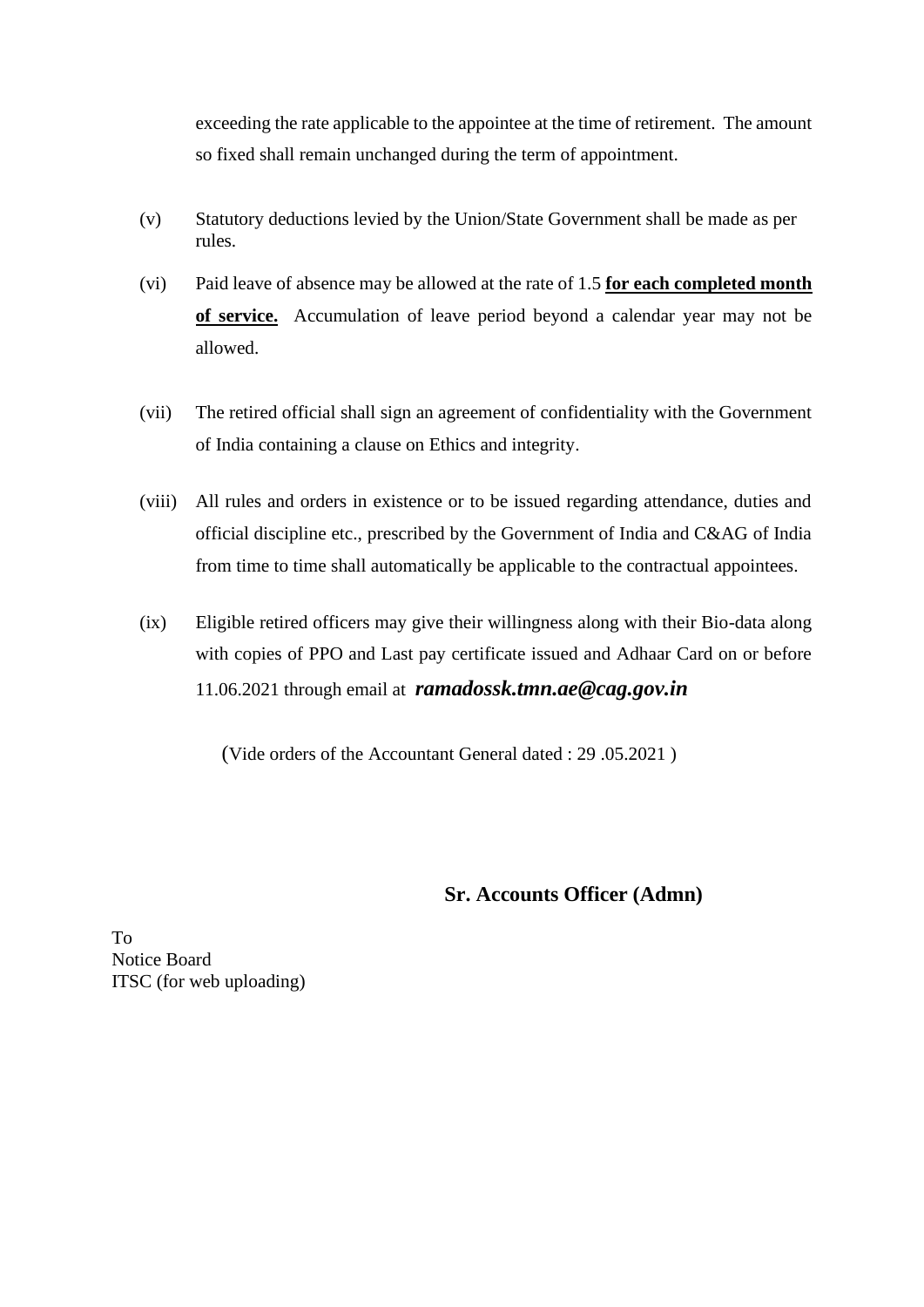exceeding the rate applicable to the appointee at the time of retirement. The amount so fixed shall remain unchanged during the term of appointment.

- (v) Statutory deductions levied by the Union/State Government shall be made as per rules.
- (vi) Paid leave of absence may be allowed at the rate of 1.5 **for each completed month of service.** Accumulation of leave period beyond a calendar year may not be allowed.
- (vii) The retired official shall sign an agreement of confidentiality with the Government of India containing a clause on Ethics and integrity.
- (viii) All rules and orders in existence or to be issued regarding attendance, duties and official discipline etc., prescribed by the Government of India and C&AG of India from time to time shall automatically be applicable to the contractual appointees.
- (ix) Eligible retired officers may give their willingness along with their Bio-data along with copies of PPO and Last pay certificate issued and Adhaar Card on or before 11.06.2021 through email at *ramadossk.tmn.ae@cag.gov.in*

(Vide orders of the Accountant General dated : 29 .05.2021 )

## **Sr. Accounts Officer (Admn)**

To Notice Board ITSC (for web uploading)